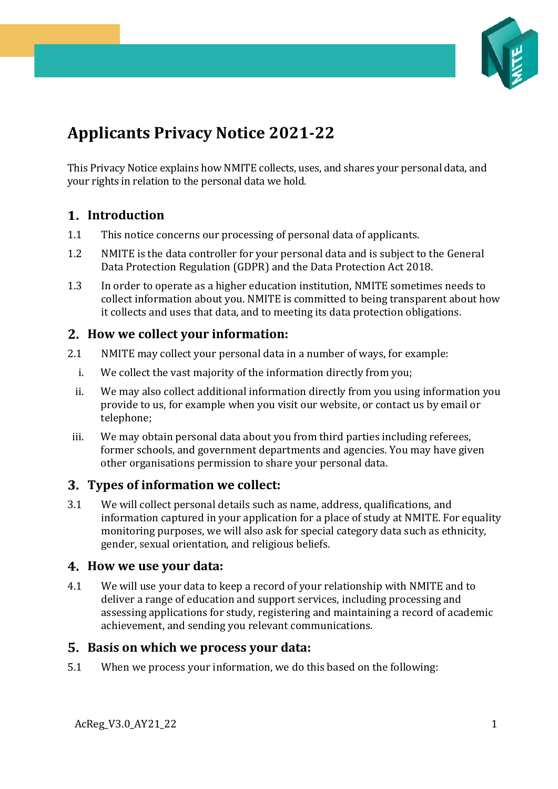

# **Applicants Privacy Notice 2021-22**

This Privacy Notice explains how NMITE collects, uses, and shares your personal data, and your rights in relation to the personal data we hold.

## **Introduction**

- 1.1 This notice concerns our processing of personal data of applicants.
- 1.2 NMITE is the data controller for your personal data and is subject to the General Data Protection Regulation (GDPR) and the Data Protection Act 2018.
- 1.3 In order to operate as a higher education institution, NMITE sometimes needs to collect information about you. NMITE is committed to being transparent about how it collects and uses that data, and to meeting its data protection obligations.

#### **How we collect your information:**

- 2.1 NMITE may collect your personal data in a number of ways, for example:
	- i. We collect the vast majority of the information directly from you;
	- ii. We may also collect additional information directly from you using information you provide to us, for example when you visit our website, or contact us by email or telephone;
- iii. We may obtain personal data about you from third parties including referees, former schools, and government departments and agencies. You may have given other organisations permission to share your personal data.

#### **Types of information we collect:**

3.1 We will collect personal details such as name, address, qualifications, and information captured in your application for a place of study at NMITE. For equality monitoring purposes, we will also ask for special category data such as ethnicity, gender, sexual orientation, and religious beliefs.

#### **How we use your data:**

4.1 We will use your data to keep a record of your relationship with NMITE and to deliver a range of education and support services, including processing and assessing applications for study, registering and maintaining a record of academic achievement, and sending you relevant communications.

#### **Basis on which we process your data:**

5.1 When we process your information, we do this based on the following: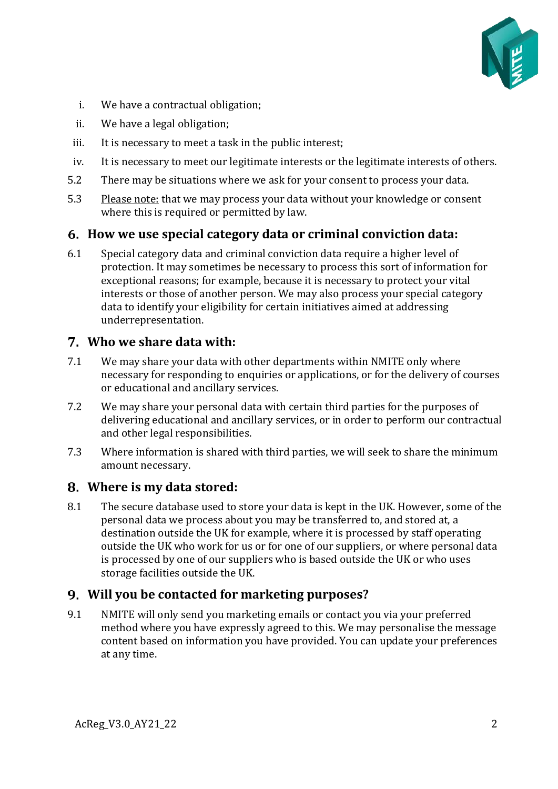

- i. We have a contractual obligation;
- ii. We have a legal obligation;
- iii. It is necessary to meet a task in the public interest;
- iv. It is necessary to meet our legitimate interests or the legitimate interests of others.
- 5.2 There may be situations where we ask for your consent to process your data.
- 5.3 Please note: that we may process your data without your knowledge or consent where this is required or permitted by law.

## **How we use special category data or criminal conviction data:**

6.1 Special category data and criminal conviction data require a higher level of protection. It may sometimes be necessary to process this sort of information for exceptional reasons; for example, because it is necessary to protect your vital interests or those of another person. We may also process your special category data to identify your eligibility for certain initiatives aimed at addressing underrepresentation.

### **Who we share data with:**

- 7.1 We may share your data with other departments within NMITE only where necessary for responding to enquiries or applications, or for the delivery of courses or educational and ancillary services.
- 7.2 We may share your personal data with certain third parties for the purposes of delivering educational and ancillary services, or in order to perform our contractual and other legal responsibilities.
- 7.3 Where information is shared with third parties, we will seek to share the minimum amount necessary.

### **Where is my data stored:**

8.1 The secure database used to store your data is kept in the UK. However, some of the personal data we process about you may be transferred to, and stored at, a destination outside the UK for example, where it is processed by staff operating outside the UK who work for us or for one of our suppliers, or where personal data is processed by one of our suppliers who is based outside the UK or who uses storage facilities outside the UK.

### **Will you be contacted for marketing purposes?**

9.1 NMITE will only send you marketing emails or contact you via your preferred method where you have expressly agreed to this. We may personalise the message content based on information you have provided. You can update your preferences at any time.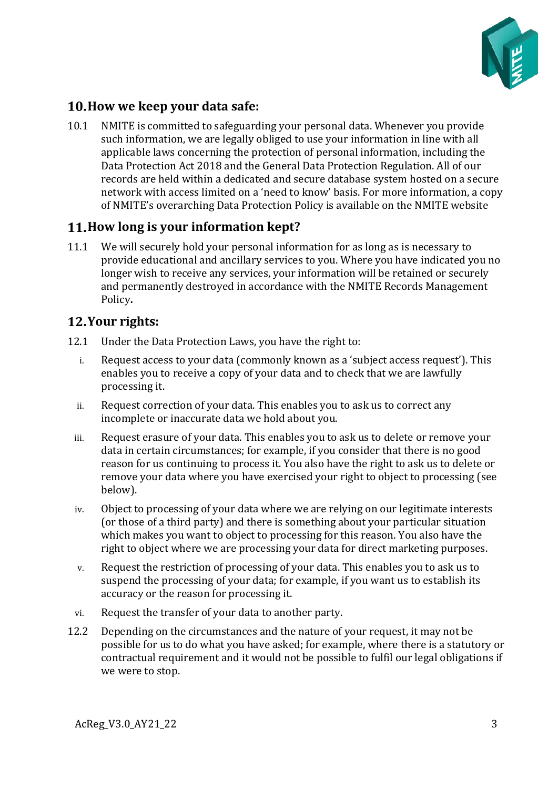

# **How we keep your data safe:**

10.1 NMITE is committed to safeguarding your personal data. Whenever you provide such information, we are legally obliged to use your information in line with all applicable laws concerning the protection of personal information, including the Data Protection Act 2018 and the General Data Protection Regulation. All of our records are held within a dedicated and secure database system hosted on a secure network with access limited on a 'need to know' basis. For more information, a copy of NMITE's overarching Data Protection Policy is available on the NMITE website

# **How long is your information kept?**

11.1 We will securely hold your personal information for as long as is necessary to provide educational and ancillary services to you. Where you have indicated you no longer wish to receive any services, your information will be retained or securely and permanently destroyed in accordance with the NMITE Records Management Policy**.**

# **Your rights:**

- 12.1 Under the Data Protection Laws, you have the right to:
	- i. Request access to your data (commonly known as a 'subject access request'). This enables you to receive a copy of your data and to check that we are lawfully processing it.
	- ii. Request correction of your data. This enables you to ask us to correct any incomplete or inaccurate data we hold about you.
	- iii. Request erasure of your data. This enables you to ask us to delete or remove your data in certain circumstances; for example, if you consider that there is no good reason for us continuing to process it. You also have the right to ask us to delete or remove your data where you have exercised your right to object to processing (see below).
	- iv. Object to processing of your data where we are relying on our legitimate interests (or those of a third party) and there is something about your particular situation which makes you want to object to processing for this reason. You also have the right to object where we are processing your data for direct marketing purposes.
	- v. Request the restriction of processing of your data. This enables you to ask us to suspend the processing of your data; for example, if you want us to establish its accuracy or the reason for processing it.
	- vi. Request the transfer of your data to another party.
- 12.2 Depending on the circumstances and the nature of your request, it may not be possible for us to do what you have asked; for example, where there is a statutory or contractual requirement and it would not be possible to fulfil our legal obligations if we were to stop.